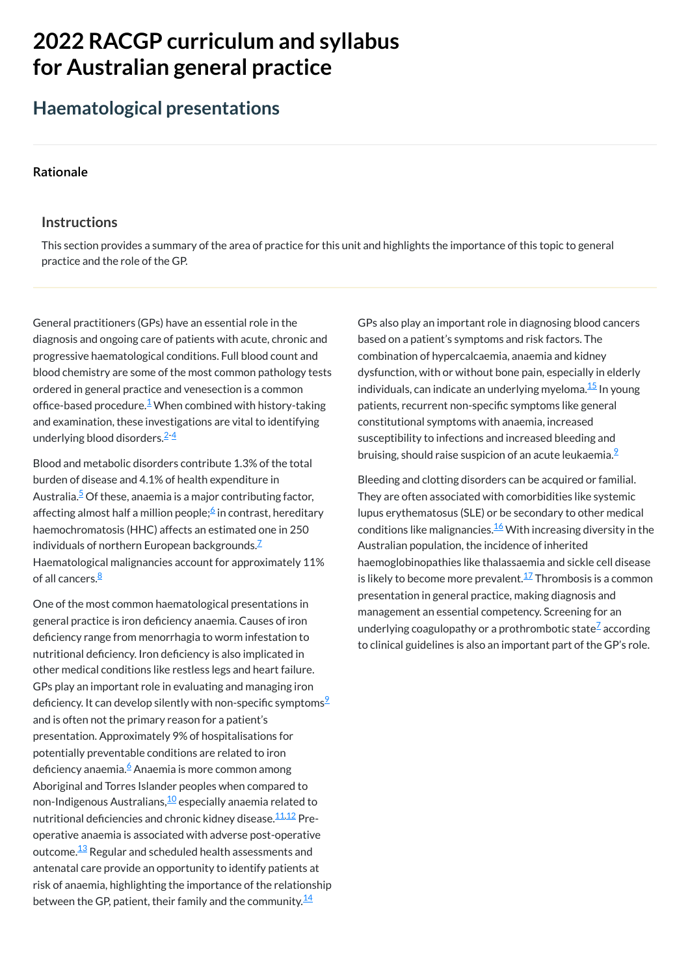# **2022 RACGP curriculum and syllabus for Australian [general practice](https://www.racgp.org.au/Curriculum-and-Syllabus/home)**

# **Haematological presentations**

#### **[Rationale](javascript:void(0))**

#### **Instructions**

General practitioners (GPs) have an essential role in the diagnosis and ongoing care of patients with acute, chronic and progressive haematological conditions. Full blood count and blood chemistry are some of the most common pathology tests ordered in general practice and venesection is a common office-based procedure.<sup>[1](#page-1-0)</sup> When combined with history-taking and examination, these investigations are vital to identifying underlying blood disorders.<sup>[2](#page-1-1)-[4](#page-1-2)</sup>

This section provides a summary of the area of practice for this unit and highlights the importance of this topic to general practice and the role of the GP.

Blood and metabolic disorders contribute 1.3% of the total burden of disease and 4.1% of health expenditure in Australia.<sup>[5](#page-1-3)</sup> Of these, anaemia is a major contributing factor, affecting almost half a million people;<sup>[6](#page-1-4)</sup> in contrast, hereditary haemochromatosis (HHC) affects an estimated one in 250 individuals of northern European backgrounds. $\mathbb Z$ Haematological malignancies account for approximately 11% of all cancers.<sup>[8](#page-1-6)</sup>

One of the most common haematological presentations in general practice is iron deficiency anaemia. Causes of iron deficiency range from menorrhagia to worm infestation to nutritional deficiency. Iron deficiency is also implicated in other medical conditions like restless legs and heart failure. GPs play an important role in evaluating and managing iron deficiency. It can develop silently with non-specific symptoms $^\mathrm{2}$ and is often not the primary reason for a patient's presentation. Approximately 9% of hospitalisations for potentially preventable conditions are related to iron deficiency anaemia.<sup>[6](#page-1-4)</sup> Anaemia is more common among Aboriginal and Torres Islander peoples when compared to non-Indigenous Australians,<sup>[10](#page-1-8)</sup> especially anaemia related to nutritional deficiencies and chronic kidney disease.<sup>[11,](#page-1-9)[12](#page-1-10)</sup> Preoperative anaemia is associated with adverse post-operative outcome. $^{\underline{13}}$  $^{\underline{13}}$  $^{\underline{13}}$  Regular and scheduled health assessments and antenatal care provide an opportunity to identify patients at risk of anaemia, highlighting the importance of the relationship between the GP, patient, their family and the community. $^{\underline{14}}$  $^{\underline{14}}$  $^{\underline{14}}$ 

GPs also play an important role in diagnosing blood cancers based on a patient's symptoms and risk factors. The combination of hypercalcaemia, anaemia and kidney dysfunction, with or without bone pain, especially in elderly individuals, can indicate an underlying myeloma.<sup>[15](#page-1-13)</sup> In young patients, recurrent non-specific symptoms like general constitutional symptoms with anaemia, increased susceptibility to infections and increased bleeding and bruising, should raise suspicion of an acute leukaemia.<sup>2</sup>

Bleeding and clotting disorders can be acquired or familial. They are often associated with comorbidities like systemic lupus erythematosus (SLE) or be secondary to other medical conditions like malignancies.<sup>[16](#page-1-14)</sup> With increasing diversity in the Australian population, the incidence of inherited haemoglobinopathies like thalassaemia and sickle cell disease is likely to become more prevalent. $^{17}$  $^{17}$  $^{17}$  Thrombosis is a common presentation in general practice, making diagnosis and management an essential competency. Screening for an underlying coagulopathy or a prothrombotic state ${}^{\mathsf{Z}}$  according to clinical guidelines is also an important part of the GP's role.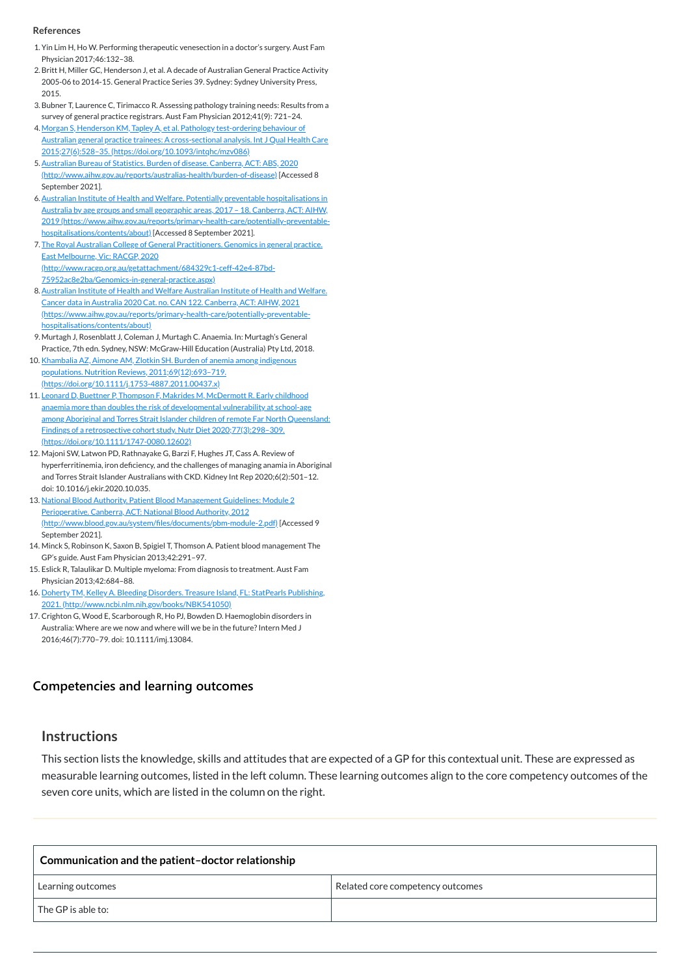#### **[Competencies and learning outcomes](javascript:void(0))**

#### **Instructions**

This section lists the knowledge, skills and attitudes that are expected of a GP for this contextual unit. These are expressed as measurable learning outcomes, listed in the left column. These learning outcomes align to the core competency outcomes of the seven core units, which are listed in the column on the right.

| Communication and the patient-doctor relationship |                                  |
|---------------------------------------------------|----------------------------------|
| Learning outcomes                                 | Related core competency outcomes |
| $\sf I$ The GP is able to:                        |                                  |

#### **References**

- <span id="page-1-0"></span>1. Yin Lim H, Ho W. Performing therapeutic venesection in a doctor's surgery. Aust Fam Physician 2017;46:132–38.
- <span id="page-1-1"></span>2.Britt H, Miller GC, Henderson J, et al. A decade of Australian General Practice Activity 2005-06 to 2014-15. General Practice Series 39. Sydney: Sydney University Press, 2015.
- 3.Bubner T, Laurence C, Tirimacco R. Assessing pathology training needs: Results from a survey of general practice registrars. Aust Fam Physician 2012;41(9): 721–24.
- <span id="page-1-2"></span>4. Morgan S, Henderson KM, Tapley A, et al. Pathology test-ordering behaviour of Australian general practice trainees: A cross-sectional analysis. Int J Qual Health Care 2015;27(6):528–35. [\(https://doi.org/10.1093/intqhc/mzv086\)](https://doi.org/10.1093/intqhc/mzv086)
- <span id="page-1-3"></span>5. Australian Bureau of Statistics. Burden of disease. Canberra, ACT: ABS, 2020 [\(http://www.aihw.gov.au/reports/australias-health/burden-of-disease\)](http://www.aihw.gov.au/reports/australias-health/burden-of-disease) [Accessed 8 September 2021].
- <span id="page-1-4"></span>6. Australian Institute of Health and Welfare. Potentially preventable hospitalisations in Australia by age groups and small geographic areas, 2017 – 18. Canberra, ACT: AIHW, 2019 [\(https://www.aihw.gov.au/reports/primary-health-care/potentially-preventable](https://www.aihw.gov.au/reports/primary-health-care/potentially-preventable-hospitalisations/contents/about)hospitalisations/contents/about) [Accessed 8 September 2021].
- <span id="page-1-5"></span>7. The Royal Australian College of General Practitioners. Genomics in general practice. East Melbourne, Vic: RACGP, 2020 [\(http://www.racgp.org.au/getattachment/684329c1-ceff-42e4-87bd-](http://www.racgp.org.au/getattachment/684329c1-ceff-42e4-87bd-75952ac8e2ba/Genomics-in-general-practice.aspx)75952ac8e2ba/Genomics-in-general-practice.aspx)
- <span id="page-1-6"></span>8. Australian Institute of Health and Welfare Australian Institute of Health and Welfare. Cancer data in Australia 2020 Cat. no. CAN 122. Canberra, ACT: AIHW, 2021 [\(https://www.aihw.gov.au/reports/primary-health-care/potentially-preventable](https://www.aihw.gov.au/reports/primary-health-care/potentially-preventable-hospitalisations/contents/about)hospitalisations/contents/about)
- <span id="page-1-7"></span>9. Murtagh J, Rosenblatt J, Coleman J, Murtagh C. Anaemia. In: Murtagh's General Practice, 7th edn. Sydney, NSW: McGraw-Hill Education (Australia) Pty Ltd, 2018.
- <span id="page-1-8"></span>10. Khambalia AZ, Aimone AM, Zlotkin SH. Burden of anemia among indigenous populations. Nutrition Reviews, 2011;69(12):693-719. [\(https://doi.org/10.1111/j.1753-4887.2011.00437.x\)](https://doi.org/10.1111/j.1753-4887.2011.00437.x)
- <span id="page-1-9"></span>11. Leonard D, Buettner P, Thompson F, Makrides M, McDermott R. Early childhood anaemia more than doubles the risk of developmental vulnerability at school-age among Aboriginal and Torres Strait Islander children of remote Far North Queensland: Findings of a retrospective cohort study. Nutr Diet 2020;77(3):298–309. [\(https://doi.org/10.1111/1747-0080.12602\)](https://doi.org/10.1111/1747-0080.12602)
- <span id="page-1-10"></span>12. Majoni SW, Latwon PD, Rathnayake G, Barzi F, Hughes JT, Cass A. Review of hyperferritinemia, iron deficiency, and the challenges of managing anamia in Aboriginal and Torres Strait Islander Australians with CKD. Kidney Int Rep 2020;6(2):501–12. doi: 10.1016/j.ekir.2020.10.035.
- <span id="page-1-11"></span>13. National Blood Authority. Patient Blood Management Guidelines: Module 2 Perioperative. Canberra, ACT: National Blood Authority, 2012 [\(http://www.blood.gov.au/system/files/documents/pbm-module-2.pdf\)](http://www.blood.gov.au/system/files/documents/pbm-module-2.pdf) [Accessed 9 September 2021].
- <span id="page-1-12"></span>14. Minck S, Robinson K, Saxon B, Spigiel T, Thomson A. Patient blood management The GP's guide. Aust Fam Physician 2013;42:291–97.
- <span id="page-1-13"></span>15. Eslick R, Talaulikar D. Multiple myeloma: From diagnosis to treatment. Aust Fam Physician 2013;42:684–88.
- <span id="page-1-14"></span>16. Doherty TM, Kelley A. Bleeding Disorders. Treasure Island, FL: StatPearls Publishing, 2021. [\(http://www.ncbi.nlm.nih.gov/books/NBK541050\)](http://www.ncbi.nlm.nih.gov/books/NBK541050)
- <span id="page-1-15"></span>17. Crighton G, Wood E, Scarborough R, Ho PJ, Bowden D. Haemoglobin disorders in Australia: Where are we now and where will we be in the future? Intern Med J 2016;46(7):770–79. doi: 10.1111/imj.13084.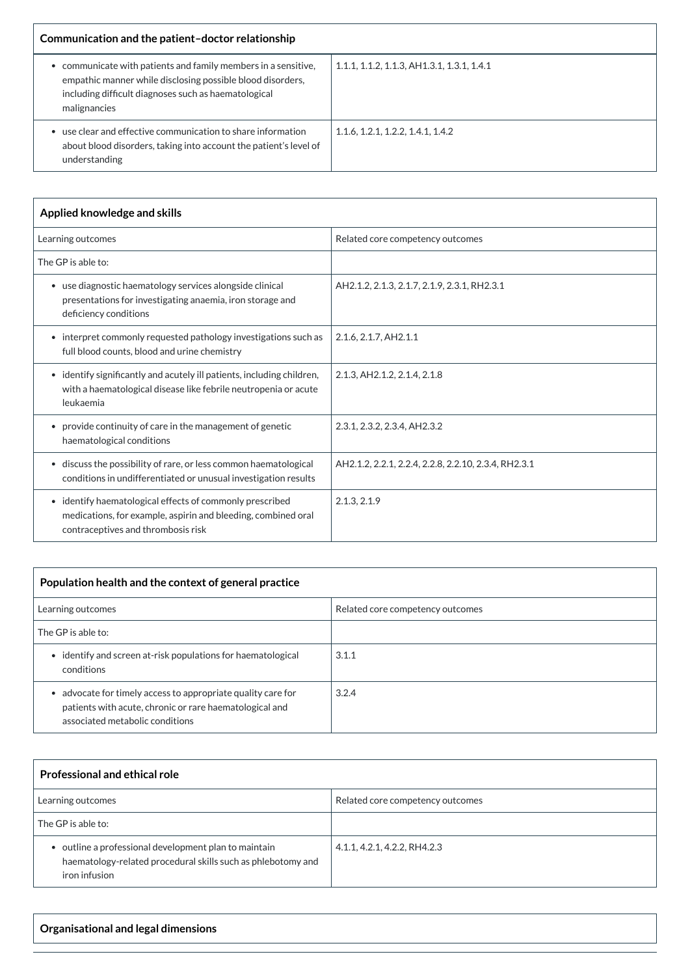| Communication and the patient-doctor relationship                                                                                                                                                  |                                             |
|----------------------------------------------------------------------------------------------------------------------------------------------------------------------------------------------------|---------------------------------------------|
| communicate with patients and family members in a sensitive,<br>empathic manner while disclosing possible blood disorders,<br>including difficult diagnoses such as haematological<br>malignancies | 1.1.1, 1.1.2, 1.1.3, AH 1.3.1, 1.3.1, 1.4.1 |
| use clear and effective communication to share information<br>about blood disorders, taking into account the patient's level of<br>understanding                                                   | 1.1.6, 1.2.1, 1.2.2, 1.4.1, 1.4.2           |

| Applied knowledge and skills                                                                                                                                      |                                                      |  |
|-------------------------------------------------------------------------------------------------------------------------------------------------------------------|------------------------------------------------------|--|
| Learning outcomes                                                                                                                                                 | Related core competency outcomes                     |  |
| The GP is able to:                                                                                                                                                |                                                      |  |
| • use diagnostic haematology services alongside clinical<br>presentations for investigating anaemia, iron storage and<br>deficiency conditions                    | AH2.1.2, 2.1.3, 2.1.7, 2.1.9, 2.3.1, RH2.3.1         |  |
| • interpret commonly requested pathology investigations such as<br>full blood counts, blood and urine chemistry                                                   | 2.1.6, 2.1.7, AH2.1.1                                |  |
| identify significantly and acutely ill patients, including children,<br>$\bullet$<br>with a haematological disease like febrile neutropenia or acute<br>leukaemia | 2.1.3, AH2.1.2, 2.1.4, 2.1.8                         |  |
| provide continuity of care in the management of genetic<br>$\bullet$<br>haematological conditions                                                                 | 2.3.1, 2.3.2, 2.3.4, AH2.3.2                         |  |
| • discuss the possibility of rare, or less common haematological<br>conditions in undifferentiated or unusual investigation results                               | AH2.1.2, 2.2.1, 2.2.4, 2.2.8, 2.2.10, 2.3.4, RH2.3.1 |  |
| • identify haematological effects of commonly prescribed<br>medications, for example, aspirin and bleeding, combined oral<br>contraceptives and thrombosis risk   | 2.1.3, 2.1.9                                         |  |

| Population health and the context of general practice                                                                                                                 |                                  |  |
|-----------------------------------------------------------------------------------------------------------------------------------------------------------------------|----------------------------------|--|
| Learning outcomes                                                                                                                                                     | Related core competency outcomes |  |
| The GP is able to:                                                                                                                                                    |                                  |  |
| • identify and screen at-risk populations for haematological<br>conditions                                                                                            | 3.1.1                            |  |
| advocate for timely access to appropriate quality care for<br>$\bullet$<br>patients with acute, chronic or rare haematological and<br>associated metabolic conditions | 3.2.4                            |  |

| <b>Professional and ethical role</b>                                                                                                   |                                  |
|----------------------------------------------------------------------------------------------------------------------------------------|----------------------------------|
| Learning outcomes                                                                                                                      | Related core competency outcomes |
| The GP is able to:                                                                                                                     |                                  |
| • outline a professional development plan to maintain<br>haematology-related procedural skills such as phlebotomy and<br>iron infusion | 4.1.1, 4.2.1, 4.2.2, RH4.2.3     |

**Organisational and legal dimensions**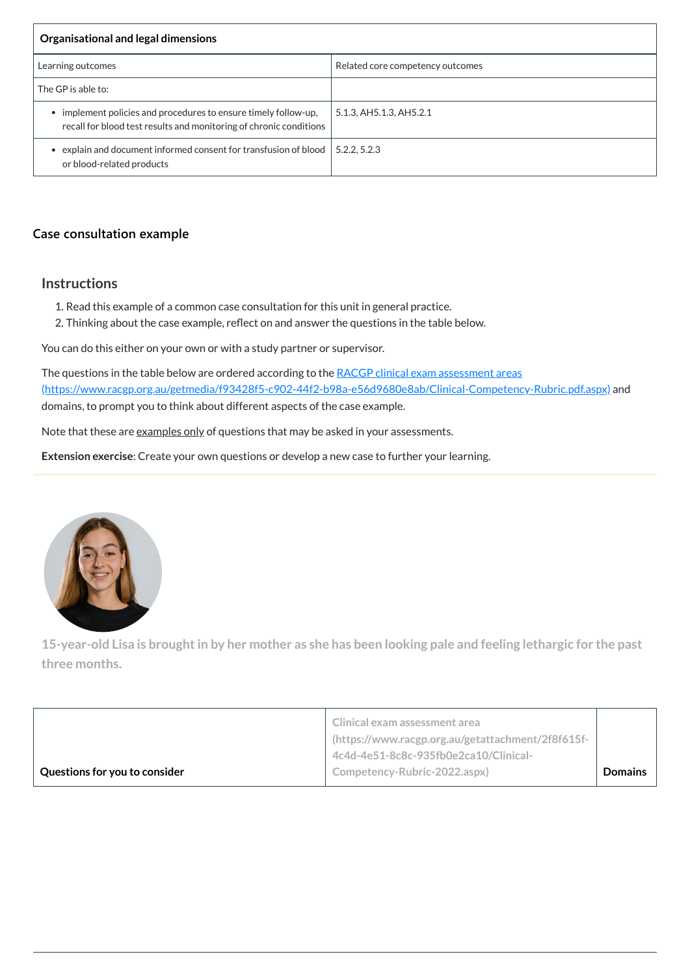| Organisational and legal dimensions                                                                                                 |                                  |
|-------------------------------------------------------------------------------------------------------------------------------------|----------------------------------|
| Learning outcomes                                                                                                                   | Related core competency outcomes |
| The GP is able to:                                                                                                                  |                                  |
| implement policies and procedures to ensure timely follow-up,<br>recall for blood test results and monitoring of chronic conditions | 5.1.3, AH5.1.3, AH5.2.1          |
| explain and document informed consent for transfusion of blood<br>or blood-related products                                         | 5.2.2, 5.2.3                     |

# **[Case consultation example](javascript:void(0))**

## **Instructions**

The questions in the table below are ordered according to the RACGP clinical exam assessment areas [\(https://www.racgp.org.au/getmedia/f93428f5-c902-44f2-b98a-e56d9680e8ab/Clinical-Competency-Rubric.pdf.aspx\)](https://www.racgp.org.au/getmedia/f93428f5-c902-44f2-b98a-e56d9680e8ab/Clinical-Competency-Rubric.pdf.aspx) and domains, to prompt you to think about different aspects of the case example.

Note that these are examples only of questions that may be asked in your assessments.

- 1. Read this example of a common case consultation for this unit in general practice.
- 2. Thinking about the case example, reflect on and answer the questions in the table below.

You can do this either on your own or with a study partner or supervisor.

15-year-old Lisa is brought in by her mother as she has been looking pale and feeling lethargic for the past **three months.**

**Extension exercise**: Create your own questions or develop a new case to further your learning.



**Clinical exam assessment area**

|                               | I (https://www.racgp.org.au/getattachment/2f8f615f-1 |                |
|-------------------------------|------------------------------------------------------|----------------|
|                               | 4c4d-4e51-8c8c-935fb0e2ca10/Clinical-                |                |
| Questions for you to consider | Competency-Rubric-2022.aspx)                         | <b>Domains</b> |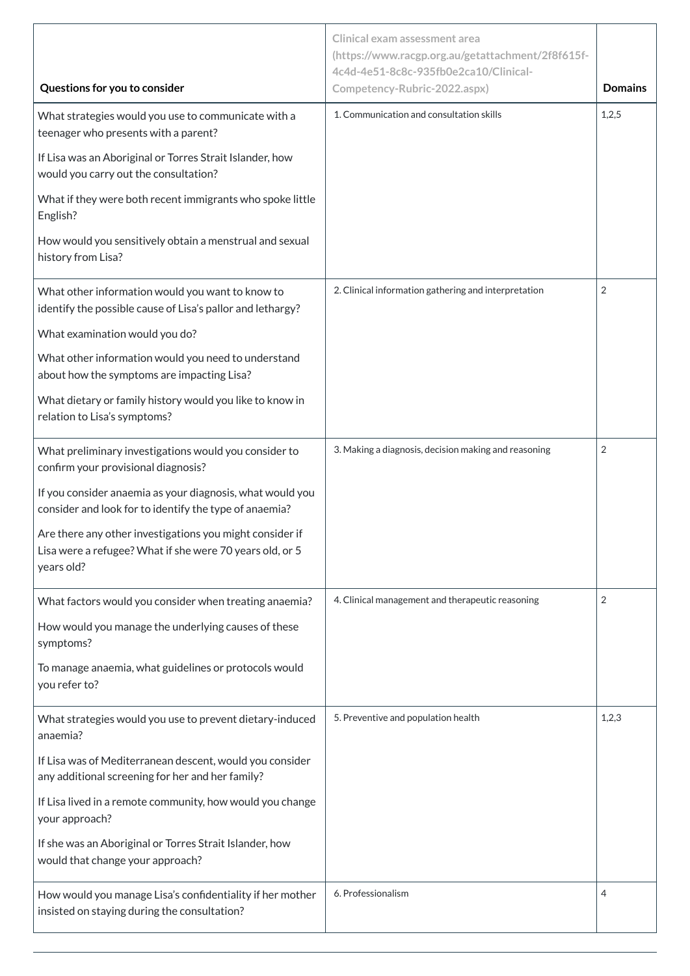|                                                                                                                                    | <b>Clinical exam assessment area</b><br>(https://www.racgp.org.au/getattachment/2f8f615f-<br>4c4d-4e51-8c8c-935fb0e2ca10/Clinical- |                |
|------------------------------------------------------------------------------------------------------------------------------------|------------------------------------------------------------------------------------------------------------------------------------|----------------|
| Questions for you to consider                                                                                                      | Competency-Rubric-2022.aspx)                                                                                                       | <b>Domains</b> |
| What strategies would you use to communicate with a<br>teenager who presents with a parent?                                        | 1. Communication and consultation skills                                                                                           | 1,2,5          |
| If Lisa was an Aboriginal or Torres Strait Islander, how<br>would you carry out the consultation?                                  |                                                                                                                                    |                |
| What if they were both recent immigrants who spoke little<br>English?                                                              |                                                                                                                                    |                |
| How would you sensitively obtain a menstrual and sexual<br>history from Lisa?                                                      |                                                                                                                                    |                |
| What other information would you want to know to<br>identify the possible cause of Lisa's pallor and lethargy?                     | 2. Clinical information gathering and interpretation                                                                               | $\overline{2}$ |
| What examination would you do?                                                                                                     |                                                                                                                                    |                |
| What other information would you need to understand<br>about how the symptoms are impacting Lisa?                                  |                                                                                                                                    |                |
| What dietary or family history would you like to know in<br>relation to Lisa's symptoms?                                           |                                                                                                                                    |                |
| What preliminary investigations would you consider to<br>confirm your provisional diagnosis?                                       | 3. Making a diagnosis, decision making and reasoning                                                                               | $\overline{2}$ |
| If you consider anaemia as your diagnosis, what would you<br>consider and look for to identify the type of anaemia?                |                                                                                                                                    |                |
| Are there any other investigations you might consider if<br>Lisa were a refugee? What if she were 70 years old, or 5<br>years old? |                                                                                                                                    |                |
| What factors would you consider when treating anaemia?                                                                             | 4. Clinical management and therapeutic reasoning                                                                                   | $\overline{2}$ |
| How would you manage the underlying causes of these<br>symptoms?                                                                   |                                                                                                                                    |                |
| To manage anaemia, what guidelines or protocols would<br>you refer to?                                                             |                                                                                                                                    |                |
| What strategies would you use to prevent dietary-induced<br>anaemia?                                                               | 5. Preventive and population health                                                                                                | 1,2,3          |
| If Lisa was of Mediterranean descent, would you consider<br>any additional screening for her and her family?                       |                                                                                                                                    |                |
| If Lisa lived in a remote community, how would you change<br>your approach?                                                        |                                                                                                                                    |                |
| If she was an Aboriginal or Torres Strait Islander, how<br>would that change your approach?                                        |                                                                                                                                    |                |
| How would you manage Lisa's confidentiality if her mother<br>insisted on staying during the consultation?                          | 6. Professionalism                                                                                                                 | 4              |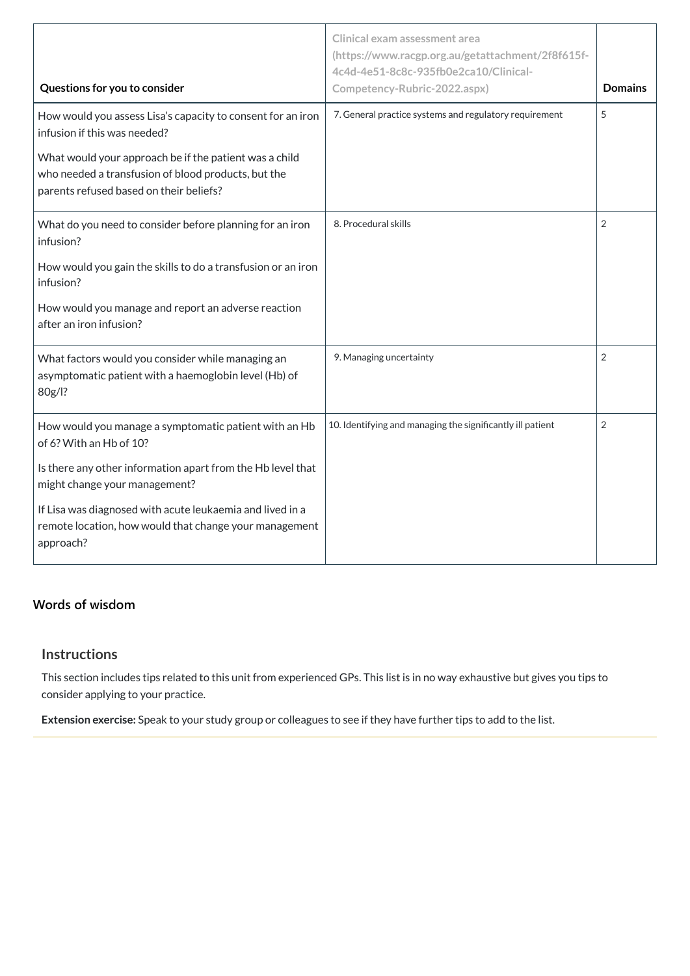| Questions for you to consider                                                                                                                            | <b>Clinical exam assessment area</b><br>(https://www.racgp.org.au/getattachment/2f8f615f-<br>4c4d-4e51-8c8c-935fb0e2ca10/Clinical-<br>Competency-Rubric-2022.aspx) | <b>Domains</b> |
|----------------------------------------------------------------------------------------------------------------------------------------------------------|--------------------------------------------------------------------------------------------------------------------------------------------------------------------|----------------|
| How would you assess Lisa's capacity to consent for an iron<br>infusion if this was needed?                                                              | 7. General practice systems and regulatory requirement                                                                                                             | 5              |
| What would your approach be if the patient was a child<br>who needed a transfusion of blood products, but the<br>parents refused based on their beliefs? |                                                                                                                                                                    |                |
| What do you need to consider before planning for an iron<br>infusion?                                                                                    | 8. Procedural skills                                                                                                                                               | $\overline{2}$ |
| How would you gain the skills to do a transfusion or an iron<br>infusion?                                                                                |                                                                                                                                                                    |                |
| How would you manage and report an adverse reaction<br>after an iron infusion?                                                                           |                                                                                                                                                                    |                |
| What factors would you consider while managing an<br>asymptomatic patient with a haemoglobin level (Hb) of<br>80g/l?                                     | 9. Managing uncertainty                                                                                                                                            | $\overline{2}$ |
| How would you manage a symptomatic patient with an Hb<br>of 6? With an Hb of 10?                                                                         | 10. Identifying and managing the significantly ill patient                                                                                                         | $\overline{2}$ |
| Is there any other information apart from the Hb level that<br>might change your management?                                                             |                                                                                                                                                                    |                |
| If Lisa was diagnosed with acute leukaemia and lived in a<br>remote location, how would that change your management<br>approach?                         |                                                                                                                                                                    |                |

# **[Words of wisdom](javascript:void(0))**

# **Instructions**

This section includes tips related to this unit from experienced GPs. This list is in no way exhaustive but gives you tips to consider applying to your practice.

**Extension exercise:** Speak to your study group or colleagues to see if they have further tips to add to the list.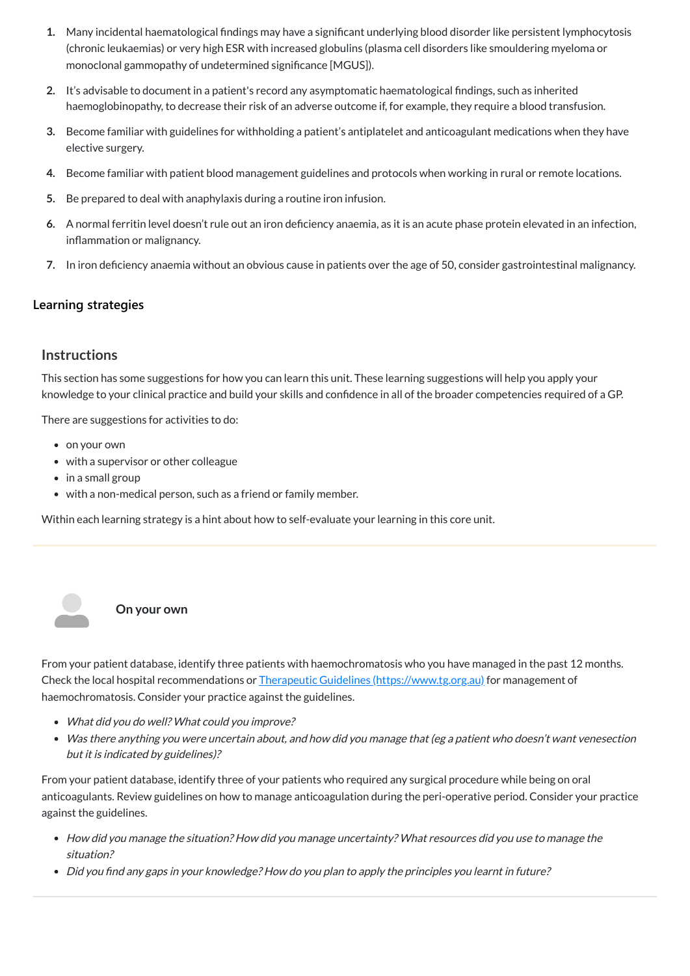- **1.** Many incidental haematological findings may have a significant underlying blood disorder like persistent lymphocytosis (chronic leukaemias) or very high ESR with increased globulins (plasma cell disorders like smouldering myeloma or monoclonal gammopathy of undetermined significance [MGUS]).
- **2.** It's advisable to document in a patient's record any asymptomatic haematological findings, such as inherited haemoglobinopathy, to decrease their risk of an adverse outcome if, for example, they require a blood transfusion.
- **3.** Become familiar with guidelines for withholding a patient's antiplatelet and anticoagulant medications when they have elective surgery.
- **4.** Become familiar with patient blood management guidelines and protocols when working in rural or remote locations.
- **5.** Be prepared to deal with anaphylaxis during a routine iron infusion.
- **6.** A normal ferritin level doesn't rule out an iron deficiency anaemia, as it is an acute phase protein elevated in an infection, inflammation or malignancy.
- **7.** In iron deficiency anaemia without an obvious cause in patients over the age of 50, consider gastrointestinal malignancy.

## **[Learning strategies](javascript:void(0))**

# **Instructions**

This section has some suggestions for how you can learn this unit. These learning suggestions will help you apply your knowledge to your clinical practice and build your skills and confidence in all of the broader competencies required of a GP.

There are suggestions for activities to do:

- on your own
- with a supervisor or other colleague
- in a small group
- with a non-medical person, such as a friend or family member.

Within each learning strategy is a hint about how to self-evaluate your learning in this core unit.

**On your own**

From your patient database, identify three patients with haemochromatosis who you have managed in the past 12 months. Check the local hospital recommendations or Therapeutic Guidelines [\(https://www.tg.org.au\)](https://www.tg.org.au/) for management of haemochromatosis. Consider your practice against the guidelines.

- What did you do well? What could you improve?
- Was there anything you were uncertain about, and how did you manage that (eg <sup>a</sup> patient who doesn't want venesection but it is indicated by guidelines)?

From your patient database, identify three of your patients who required any surgical procedure while being on oral anticoagulants. Review guidelines on how to manage anticoagulation during the peri-operative period. Consider your practice against the guidelines.

- How did you manage the situation? How did you manage uncertainty? What resources did you use to manage the situation?
- Did you find any gaps in your knowledge? How do you plan to apply the principles you learnt in future?

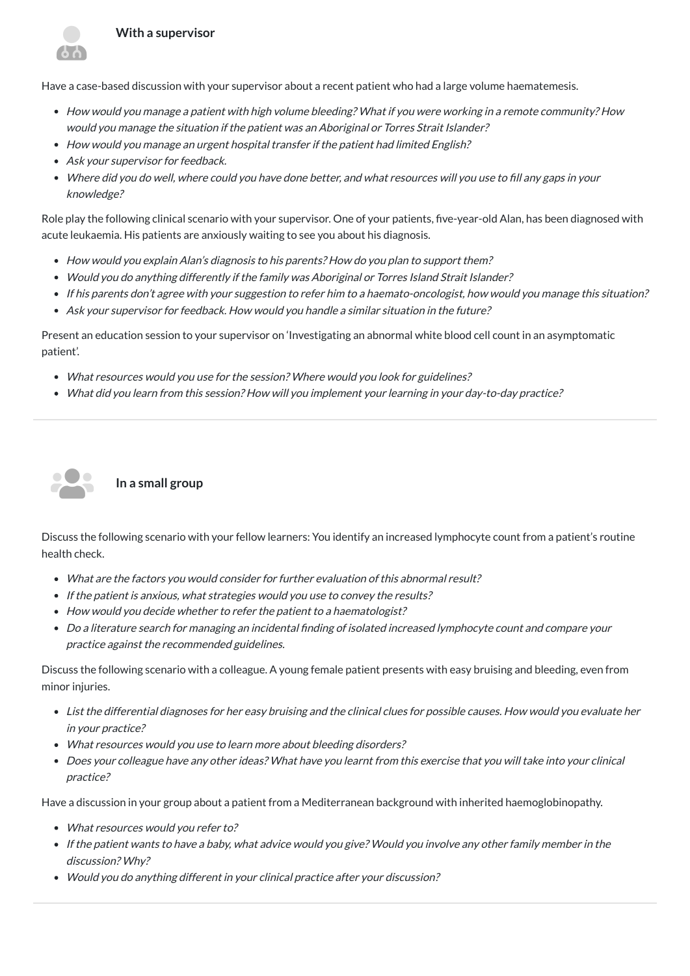Have a case-based discussion with your supervisor about a recent patient who had a large volume haematemesis.

- How would you manage <sup>a</sup> patient with high volume bleeding? What if you were working in <sup>a</sup> remote community? How would you manage the situation if the patient was an Aboriginal or Torres Strait Islander?
- How would you manage an urgent hospital transfer if the patient had limited English?
- Ask your supervisor for feedback.
- Where did you do well, where could you have done better, and what resources will you use to fill any gaps in your knowledge?

- How would you explain Alan's diagnosis to his parents? How do you plan to support them?
- Would you do anything differently if the family was Aboriginal or Torres Island Strait Islander?
- If his parents don't agree with your suggestion to refer him to a haemato-oncologist, how would you manage this situation?
- Ask your supervisor for feedback. How would you handle <sup>a</sup> similar situation in the future?

Role play the following clinical scenario with your supervisor. One of your patients, five-year-old Alan, has been diagnosed with acute leukaemia. His patients are anxiously waiting to see you about his diagnosis.

Present an education session to your supervisor on 'Investigating an abnormal white blood cell count in an asymptomatic patient'.

- What resources would you use for the session? Where would you look for guidelines?
- What did you learn from this session? How will you implement your learning in your day-to-day practice?



#### **In a small group**

Discuss the following scenario with your fellow learners: You identify an increased lymphocyte count from a patient's routine health check.

- What are the factors you would consider for further evaluation of this abnormal result?
- If the patient is anxious, what strategies would you use to convey the results?
- How would you decide whether to refer the patient to <sup>a</sup> haematologist?
- Do <sup>a</sup> literature search for managing an incidental finding of isolated increased lymphocyte count and compare your practice against the recommended guidelines.

Discuss the following scenario with a colleague. A young female patient presents with easy bruising and bleeding, even from minor injuries.

- List the differential diagnoses for her easy bruising and the clinical clues for possible causes. How would you evaluate her in your practice?
- What resources would you use to learn more about bleeding disorders?
- Does your colleague have any other ideas? What have you learnt from this exercise that you will take into your clinical practice?

Have a discussion in your group about a patient from a Mediterranean background with inherited haemoglobinopathy.

- What resources would you refer to?
- If the patient wants to have <sup>a</sup> baby, what advice would you give? Would you involve any other family member in the discussion? Why?
- Would you do anything different in your clinical practice after your discussion?

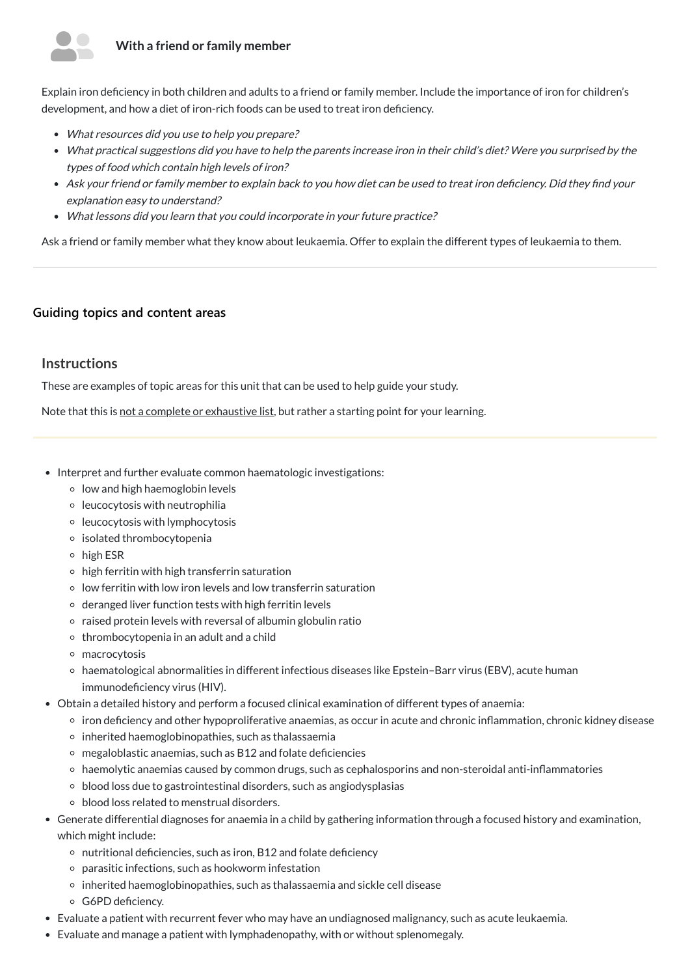# **With a friend or family member**



Explain iron deficiency in both children and adults to a friend or family member. Include the importance of iron for children's development, and how a diet of iron-rich foods can be used to treat iron deficiency.

- What resources did you use to help you prepare?
- What practical suggestions did you have to help the parents increase iron in their child's diet? Were you surprised by the types of food which contain high levels of iron?
- Ask your friend or family member to explain back to you how diet can be used to treat iron deficiency. Did they find your explanation easy to understand?
- What lessons did you learn that you could incorporate in your future practice?

Ask a friend or family member what they know about leukaemia. Offer to explain the different types of leukaemia to them.

# **[Guiding topics and content areas](javascript:void(0))**

# **Instructions**

These are examples of topic areas for this unit that can be used to help guide your study.

Note that this is not a complete or exhaustive list, but rather a starting point for your learning.

- Interpret and further evaluate common haematologic investigations:
	- $\circ$  low and high haemoglobin levels
	- $\circ$  leucocytosis with neutrophilia
	- $\circ$  leucocytosis with lymphocytosis
	- isolated thrombocytopenia
	- high ESR
	- $\circ$  high ferritin with high transferrin saturation
	- $\circ$  low ferritin with low iron levels and low transferrin saturation
	- $\circ$  deranged liver function tests with high ferritin levels
	- $\circ$  raised protein levels with reversal of albumin globulin ratio
	- thrombocytopenia in an adult and a child
	- macrocytosis
	- haematological abnormalities in different infectious diseases like Epstein–Barr virus (EBV), acute human immunodeficiency virus (HIV).
- Obtain a detailed history and perform a focused clinical examination of different types of anaemia:
	- iron deficiency and other hypoproliferative anaemias, as occur in acute and chronic inflammation, chronic kidney disease
	-
	- inherited haemoglobinopathies, such as thalassaemia
	- $\circ$  megaloblastic anaemias, such as B12 and folate deficiencies
	- haemolytic anaemias caused by common drugs, such as cephalosporins and non-steroidal anti-inflammatories
	- blood loss due to gastrointestinal disorders, such as angiodysplasias
	- blood loss related to menstrual disorders.
- Generate differential diagnoses for anaemia in a child by gathering information through a focused history and examination, which might include:
	- $\circ$  nutritional deficiencies, such as iron, B12 and folate deficiency
	- parasitic infections, such as hookworm infestation
	- o inherited haemoglobinopathies, such as thalassaemia and sickle cell disease
	- G6PD deficiency.
- Evaluate a patient with recurrent fever who may have an undiagnosed malignancy, such as acute leukaemia.
- Evaluate and manage a patient with lymphadenopathy, with or without splenomegaly.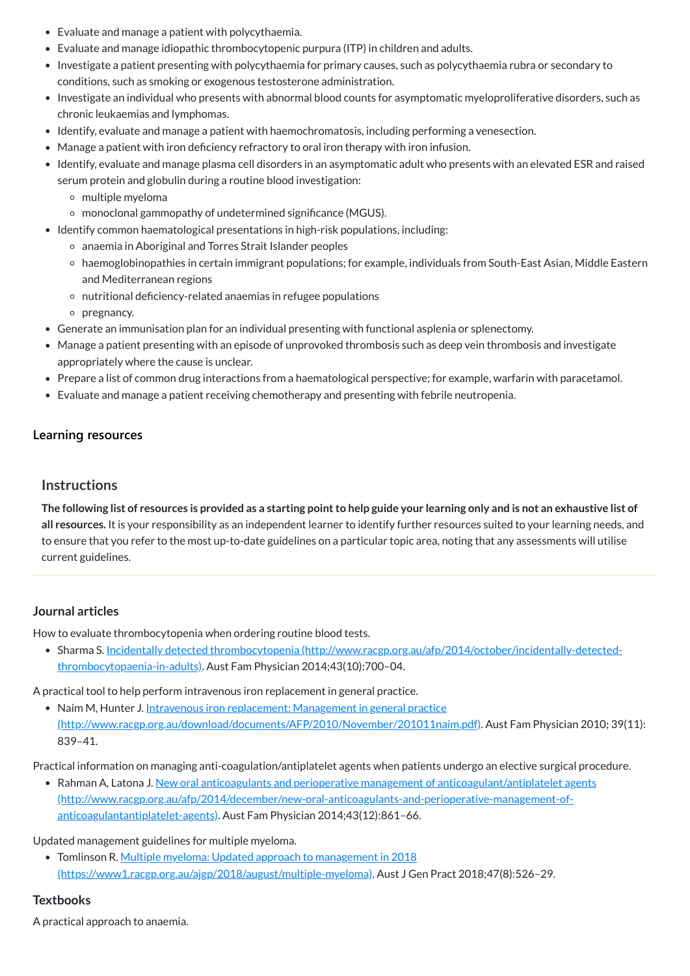- Evaluate and manage a patient with polycythaemia.
- Evaluate and manage idiopathic thrombocytopenic purpura (ITP) in children and adults.
- Investigate a patient presenting with polycythaemia for primary causes, such as polycythaemia rubra or secondary to conditions, such as smoking or exogenous testosterone administration.
- Investigate an individual who presents with abnormal blood counts for asymptomatic myeloproliferative disorders, such as chronic leukaemias and lymphomas.
- Identify, evaluate and manage a patient with haemochromatosis, including performing a venesection.
- Manage a patient with iron deficiency refractory to oral iron therapy with iron infusion.
- Identify, evaluate and manage plasma cell disorders in an asymptomatic adult who presents with an elevated ESR and raised serum protein and globulin during a routine blood investigation:
	- multiple myeloma
	- monoclonal gammopathy of undetermined significance (MGUS).
- Identify common haematological presentations in high-risk populations, including:
	- anaemia in Aboriginal and Torres Strait Islander peoples
	- haemoglobinopathies in certain immigrant populations; for example, individuals from South-East Asian, Middle Eastern and Mediterranean regions
	- nutritional deficiency-related anaemias in refugee populations
	- o pregnancy.
- Generate an immunisation plan for an individual presenting with functional asplenia or splenectomy.
- Manage a patient presenting with an episode of unprovoked thrombosis such as deep vein thrombosis and investigate appropriately where the cause is unclear.
- Prepare a list of common drug interactions from a haematological perspective; for example, warfarin with paracetamol.
- Evaluate and manage a patient receiving chemotherapy and presenting with febrile neutropenia.

The following list of resources is provided as a starting point to help guide your learning only and is not an exhaustive list of **all resources.** It is your responsibility as an independent learner to identify further resources suited to your learning needs, and to ensure that you refer to the most up-to-date guidelines on a particular topic area, noting that any assessments will utilise current guidelines.

• Naim M, Hunter J. Intravenous iron replacement: Management in general practice [\(http://www.racgp.org.au/download/documents/AFP/2010/November/201011naim.pdf\)](http://www.racgp.org.au/download/documents/AFP/2010/November/201011naim.pdf). Aust Fam Physician 2010; 39(11):

• Rahman A, Latona J. New oral anticoagulants and perioperative management of anticoagulant/antiplatelet agents [\(http://www.racgp.org.au/afp/2014/december/new-oral-anticoagulants-and-perioperative-management-of](http://www.racgp.org.au/afp/2014/december/new-oral-anticoagulants-and-perioperative-management-of-anticoagulantantiplatelet-agents)anticoagulantantiplatelet-agents). Aust Fam Physician 2014;43(12):861–66.

#### **[Learning resources](javascript:void(0))**

#### **Instructions**

#### **Journal articles**

How to evaluate thrombocytopenia when ordering routine blood tests.

Sharma S. Incidentally detected thrombocytopenia [\(http://www.racgp.org.au/afp/2014/october/incidentally-detected](http://www.racgp.org.au/afp/2014/october/incidentally-detected-thrombocytopaenia-in-adults)thrombocytopaenia-in-adults). Aust Fam Physician 2014;43(10):700–04.

A practical tool to help perform intravenous iron replacement in general practice.

#### 839–41.

Practical information on managing anti-coagulation/antiplatelet agents when patients undergo an elective surgical procedure.

Updated management guidelines for multiple myeloma.

• Tomlinson R. Multiple myeloma: Updated approach to management in 2018

[\(https://www1.racgp.org.au/ajgp/2018/august/multiple-myeloma\).](https://www1.racgp.org.au/ajgp/2018/august/multiple-myeloma) Aust J Gen Pract 2018;47(8):526–29.

#### **Textbooks**

A practical approach to anaemia.